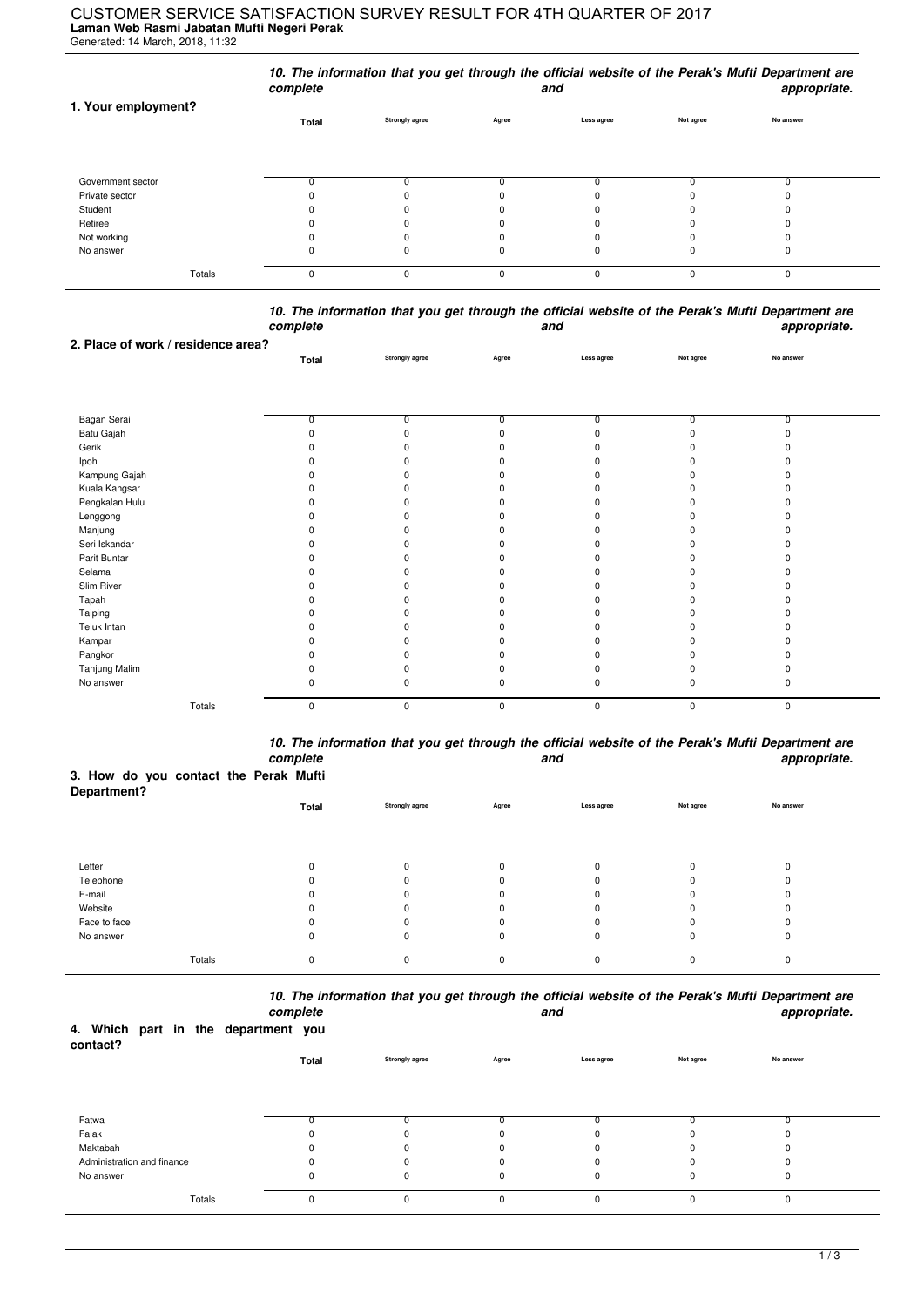## **Laman Web Rasmi Jabatan Mufti Negeri Perak** CUSTOMER SERVICE SATISFACTION SURVEY RESULT FOR 4TH QUARTER OF 2017

Generated: 14 March, 2018, 11:32

|                     | complete |                       |          | and        |           | 10. The information that you get through the official website of the Perak's Mufti Department are<br>appropriate. |
|---------------------|----------|-----------------------|----------|------------|-----------|-------------------------------------------------------------------------------------------------------------------|
| 1. Your employment? | Total    | <b>Strongly agree</b> | Agree    | Less agree | Not agree | No answer                                                                                                         |
| Government sector   |          |                       |          |            |           |                                                                                                                   |
| Private sector      |          |                       |          |            |           |                                                                                                                   |
| Student             |          |                       |          |            |           |                                                                                                                   |
| Retiree             |          |                       |          |            |           |                                                                                                                   |
| Not working         |          | 0                     |          | 0          |           |                                                                                                                   |
| No answer           |          |                       | U        |            |           |                                                                                                                   |
| Totals              | $\Omega$ | $\Omega$              | $\Omega$ | $\Omega$   | $\Omega$  | 0                                                                                                                 |

*10. The information that you get through the official website of the Perak's Mufti Department are complete and appropriate.*

| 2. Place of work / residence area? |                |                       |                |                |                |           |  |
|------------------------------------|----------------|-----------------------|----------------|----------------|----------------|-----------|--|
|                                    | Total          | <b>Strongly agree</b> | Agree          | Less agree     | Not agree      | No answer |  |
|                                    |                |                       |                |                |                |           |  |
|                                    |                |                       |                |                |                |           |  |
|                                    |                |                       | $\overline{0}$ | $\overline{0}$ | $\overline{0}$ | ᠊ᠦ        |  |
| Bagan Serai                        | $\overline{0}$ | $\overline{0}$        | n              |                |                | $\Omega$  |  |
| Batu Gajah                         |                | $\Omega$              |                |                | U              |           |  |
| Gerik                              |                | O                     |                |                |                |           |  |
| Ipoh                               |                | <sup>0</sup>          |                |                |                |           |  |
| Kampung Gajah                      |                | O                     |                |                |                |           |  |
| Kuala Kangsar                      |                | <sup>0</sup>          |                |                |                |           |  |
| Pengkalan Hulu                     |                | O                     |                |                |                |           |  |
| Lenggong                           |                | O                     |                |                |                |           |  |
| Manjung                            |                | n                     |                |                |                |           |  |
| Seri Iskandar                      |                | <sup>0</sup>          |                |                |                | n         |  |
| Parit Buntar                       |                | n                     |                |                |                |           |  |
| Selama                             |                | O                     |                |                |                |           |  |
| Slim River                         |                | n                     |                |                |                |           |  |
| Tapah                              |                | O                     |                |                |                |           |  |
| Taiping                            |                | O                     |                |                |                |           |  |
| Teluk Intan                        |                | O                     |                |                |                |           |  |
| Kampar                             |                | <sup>0</sup>          |                |                |                |           |  |
| Pangkor                            |                | O                     |                |                |                | n         |  |
| Tanjung Malim                      |                | O                     |                |                |                |           |  |
| No answer                          | 0              | $\Omega$              | 0              | ŋ              | 0              | 0         |  |
|                                    |                |                       |                |                |                |           |  |
| Totals                             | 0              | $\mathbf 0$           | 0              | $\pmb{0}$      | 0              | 0         |  |

*10. The information that you get through the official website of the Perak's Mufti Department are complete and appropriate.*

## **3. How do you contact the Perak Mufti**

| Department?  |          |                       |          |            |           |           |  |
|--------------|----------|-----------------------|----------|------------|-----------|-----------|--|
|              | Total    | <b>Strongly agree</b> | Agree    | Less agree | Not agree | No answer |  |
|              |          |                       |          |            |           |           |  |
|              |          |                       |          |            |           |           |  |
| Letter       |          |                       |          |            |           |           |  |
| Telephone    |          |                       | 0        |            |           |           |  |
| E-mail       |          |                       | $\Omega$ | 0          |           |           |  |
| Website      |          |                       | 0        | $\Omega$   |           |           |  |
| Face to face |          | 0                     | $\Omega$ | $\Omega$   |           |           |  |
| No answer    |          | 0                     | 0        | 0          |           |           |  |
| Totals       | $\Omega$ | 0                     | 0        | 0          |           | $\sim$    |  |

*10. The information that you get through the official website of the Perak's Mufti Department are*

|                                                 |        | complete |                       | and          |             |           | appropriate. |
|-------------------------------------------------|--------|----------|-----------------------|--------------|-------------|-----------|--------------|
| 4. Which part in the department you<br>contact? |        |          |                       |              |             |           |              |
|                                                 |        | Total    | <b>Strongly agree</b> | Agree        | Less agree  | Not agree | No answer    |
|                                                 |        |          |                       |              |             |           |              |
| Fatwa                                           |        |          |                       |              |             |           |              |
| Falak                                           |        | 0        | $\Omega$              | $\mathbf 0$  | 0           |           | 0            |
| Maktabah                                        |        | 0        | n                     | $\Omega$     | 0           |           |              |
| Administration and finance                      |        | 0        | 0                     | $\Omega$     | 0           |           | 0            |
| No answer                                       |        | 0        | 0                     | $\mathbf 0$  | 0           | 0         | 0            |
|                                                 | Totals | 0        | 0                     | $\mathbf{0}$ | $\mathbf 0$ | $\Omega$  | 0            |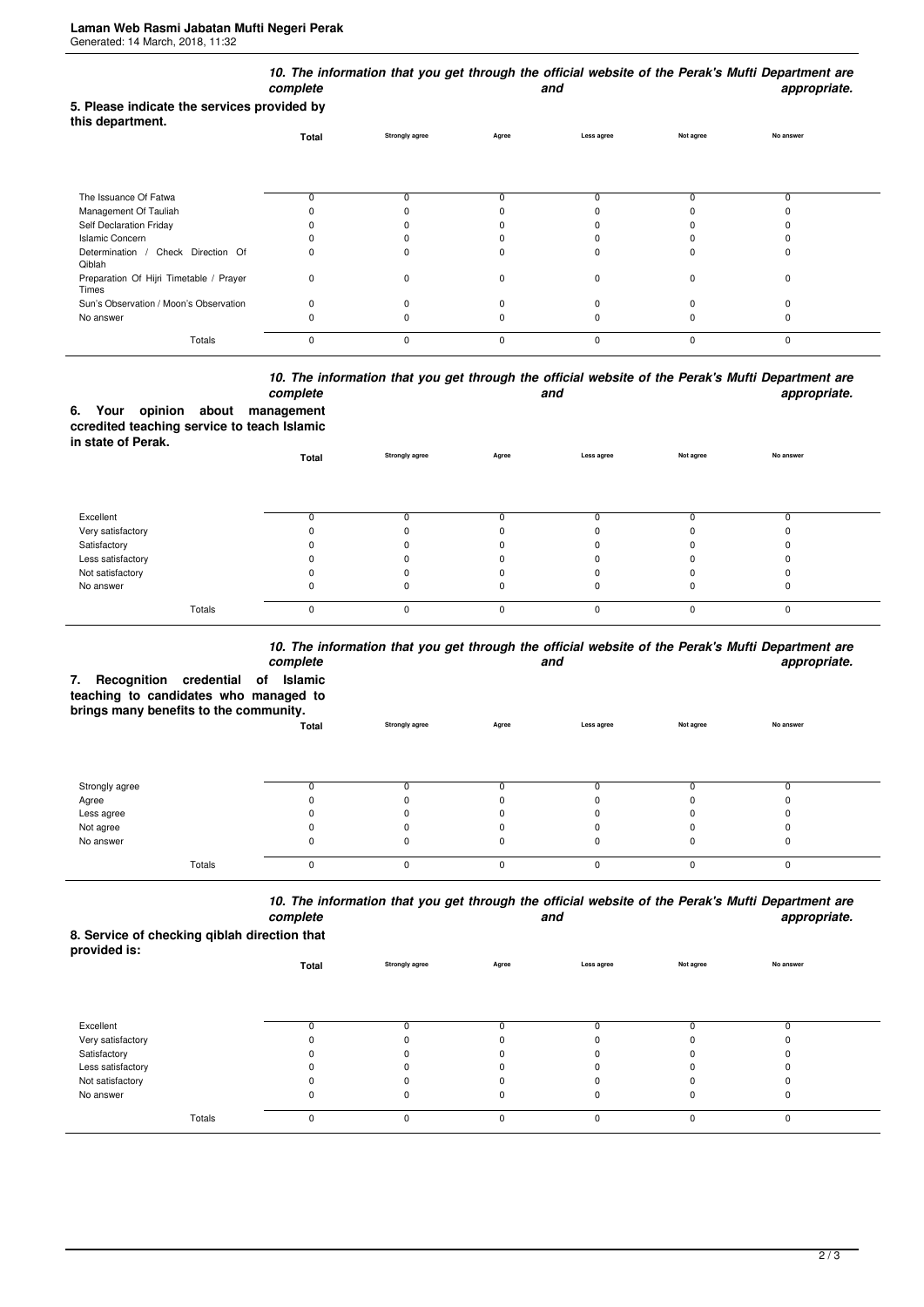| 5. Please indicate the services provided by      | complete |                       |          | and        |           | 10. The information that you get through the official website of the Perak's Mufti Department are<br>appropriate. |
|--------------------------------------------------|----------|-----------------------|----------|------------|-----------|-------------------------------------------------------------------------------------------------------------------|
| this department.                                 | Total    | <b>Strongly agree</b> | Agree    | Less agree | Not agree | No answer                                                                                                         |
| The Issuance Of Fatwa                            | 0        | 0                     | 0        |            | 0         | 0                                                                                                                 |
| Management Of Tauliah                            |          |                       |          |            |           |                                                                                                                   |
| Self Declaration Friday                          |          |                       |          |            |           |                                                                                                                   |
| <b>Islamic Concern</b>                           |          |                       |          |            |           |                                                                                                                   |
| Determination / Check Direction Of<br>Qiblah     | 0        | $\Omega$              | n        |            | C         | ŋ                                                                                                                 |
| Preparation Of Hijri Timetable / Prayer<br>Times | 0        | $\Omega$              | O        | $\Omega$   | $\Omega$  | $\Omega$                                                                                                          |
| Sun's Observation / Moon's Observation           | 0        | $\Omega$              |          |            |           |                                                                                                                   |
| No answer                                        | n        |                       |          |            |           | 0                                                                                                                 |
| Totals                                           | 0        | $\Omega$              | $\Omega$ | $\Omega$   | $\Omega$  | 0                                                                                                                 |

## *10. The information that you get through the official website of the Perak's Mufti Department are* **and** and **appropriate.**

|                    |  | complete                                    |
|--------------------|--|---------------------------------------------|
|                    |  | 6. Your opinion about management            |
|                    |  | ccredited teaching service to teach Islamic |
| in state of Perak. |  |                                             |

| <b> .</b>         | Total    | <b>Strongly agree</b> | Agree    | Less agree | Not agree | No answer |  |
|-------------------|----------|-----------------------|----------|------------|-----------|-----------|--|
|                   |          |                       |          |            |           |           |  |
| Excellent         |          |                       |          |            |           |           |  |
| Very satisfactory |          |                       | 0        |            |           |           |  |
| Satisfactory      |          |                       | 0        |            |           |           |  |
| Less satisfactory |          |                       | 0        |            |           |           |  |
| Not satisfactory  |          |                       | $\Omega$ |            |           |           |  |
| No answer         | 0        |                       | 0        |            | 0         |           |  |
| Totals            | $\Omega$ | $\Omega$              | $\Omega$ | ŋ          | O         |           |  |

## *10. The information that you get through the official website of the Perak's Mufti Department are*

|                                                                                                                    | complete |                       |          | and        |           | iv. The implificulture that you get through the only ar website of the Felax's multi-bepartment are<br>appropriate. |
|--------------------------------------------------------------------------------------------------------------------|----------|-----------------------|----------|------------|-----------|---------------------------------------------------------------------------------------------------------------------|
| Recognition credential of<br>7.<br>teaching to candidates who managed to<br>brings many benefits to the community. | Islamic  |                       |          |            |           |                                                                                                                     |
|                                                                                                                    | Total    | <b>Strongly agree</b> | Agree    | Less agree | Not agree | No answer                                                                                                           |
|                                                                                                                    |          |                       |          |            |           |                                                                                                                     |
| Strongly agree                                                                                                     | O        |                       |          |            |           |                                                                                                                     |
| Agree                                                                                                              |          |                       |          |            |           |                                                                                                                     |
| Less agree                                                                                                         |          |                       |          |            |           |                                                                                                                     |
| Not agree                                                                                                          |          |                       |          |            |           |                                                                                                                     |
| No answer                                                                                                          |          |                       |          |            |           |                                                                                                                     |
| Totals                                                                                                             | 0        |                       | $\Omega$ | 0          |           | $\Omega$                                                                                                            |

*10. The information that you get through the official website of the Perak's Mufti Department are complete and appropriate.*

**8. Service of checking qiblah direction that**

| provided is:      | Total | <b>Strongly agree</b> | Agree    | Less agree | Not agree | No answer |  |
|-------------------|-------|-----------------------|----------|------------|-----------|-----------|--|
|                   |       |                       |          |            |           |           |  |
| Excellent         |       |                       |          |            |           |           |  |
| Very satisfactory |       |                       |          |            |           |           |  |
| Satisfactory      |       | ŋ                     |          |            |           |           |  |
| Less satisfactory |       | 0                     |          |            |           |           |  |
| Not satisfactory  |       | <sup>0</sup>          |          |            |           |           |  |
| No answer         | 0     | 0                     |          | 0          | 0         |           |  |
| Totals            | 0     | 0                     | $\Omega$ | $\Omega$   | $\Omega$  | $\Omega$  |  |